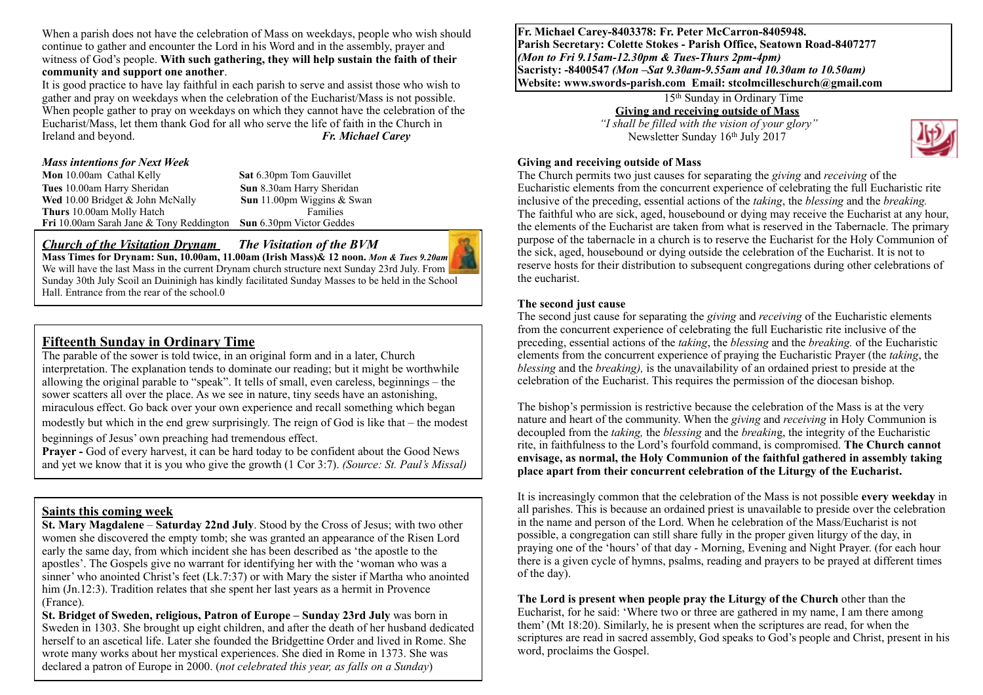When a parish does not have the celebration of Mass on weekdays, people who wish should continue to gather and encounter the Lord in his Word and in the assembly, prayer and witness of God's people. **With such gathering, they will help sustain the faith of their community and support one another**.

It is good practice to have lay faithful in each parish to serve and assist those who wish to gather and pray on weekdays when the celebration of the Eucharist/Mass is not possible. When people gather to pray on weekdays on which they cannot have the celebration of the Eucharist/Mass, let them thank God for all who serve the life of faith in the Church in Ireland and beyond. *Fr. Michael Carey*

#### *Mass intentions for Next Week*

**Mon** 10.00am Cathal Kelly **Sat 6.30pm** Tom Gauvillet **Tues** 10.00am Harry Sheridan **Sun 8.30am Harry Sheridan <b>Wed** 10.00 Bridget & John McNally **Sun** 11.00pm Wiggins & Swan **Wed** 10.00 Bridget & John McNally **Thurs** 10.00am Molly Hatch Families **Fri** 10.00am Sarah Jane & Tony Reddington **Sun** 6.30pm Victor Geddes

#### *Church of the Visitation Drynam**The Visitation of the BVM*



**Mass Times for Drynam: Sun, 10.00am, 11.00am (Irish Mass)& 12 noon.** *Mon & Tues 9.20am*  We will have the last Mass in the current Drynam church structure next Sunday 23rd July. From Sunday 30th July Scoil an Duininigh has kindly facilitated Sunday Masses to be held in the School Hall. Entrance from the rear of the school.0

# **Fifteenth Sunday in Ordinary Time**

The parable of the sower is told twice, in an original form and in a later, Church interpretation. The explanation tends to dominate our reading; but it might be worthwhile allowing the original parable to "speak". It tells of small, even careless, beginnings – the sower scatters all over the place. As we see in nature, tiny seeds have an astonishing, miraculous effect. Go back over your own experience and recall something which began modestly but which in the end grew surprisingly. The reign of God is like that – the modest beginnings of Jesus' own preaching had tremendous effect.

**Prayer -** God of every harvest, it can be hard today to be confident about the Good News and yet we know that it is you who give the growth (1 Cor 3:7). *(Source: St. Paul's Missal)* 

#### **Saints this coming week**

**St. Mary Magdalene** – **Saturday 22nd July**. Stood by the Cross of Jesus; with two other women she discovered the empty tomb; she was granted an appearance of the Risen Lord early the same day, from which incident she has been described as 'the apostle to the apostles'. The Gospels give no warrant for identifying her with the 'woman who was a sinner' who anointed Christ's feet (Lk.7:37) or with Mary the sister if Martha who anointed him (Jn.12:3). Tradition relates that she spent her last years as a hermit in Provence (France).

**St. Bridget of Sweden, religious, Patron of Europe – Sunday 23rd July** was born in Sweden in 1303. She brought up eight children, and after the death of her husband dedicated herself to an ascetical life. Later she founded the Bridgettine Order and lived in Rome. She wrote many works about her mystical experiences. She died in Rome in 1373. She was declared a patron of Europe in 2000. (*not celebrated this year, as falls on a Sunday*)

**Fr. Michael Carey-8403378: Fr. Peter McCarron-8405948. Parish Secretary: Colette Stokes - Parish Office, Seatown Road-8407277**  *(Mon to Fri 9.15am-12.30pm & Tues-Thurs 2pm-4pm)*  **Sacristy: -8400547** *(Mon –Sat 9.30am-9.55am and 10.30am to 10.50am)* **Website: [www.swords-parish.com Email:](http://www.swords-parish.com%20%20email) stcolmcilleschurch@gmail.com**

#### 15th Sunday in Ordinary Time **Giving and receiving outside of Mass**

 *"I shall be filled with the vision of your glory"*  Newsletter Sunday 16th July 2017



#### **Giving and receiving outside of Mass**

The Church permits two just causes for separating the *giving* and *receiving* of the Eucharistic elements from the concurrent experience of celebrating the full Eucharistic rite inclusive of the preceding, essential actions of the *taking*, the *blessing* and the *breaking.* The faithful who are sick, aged, housebound or dying may receive the Eucharist at any hour, the elements of the Eucharist are taken from what is reserved in the Tabernacle. The primary purpose of the tabernacle in a church is to reserve the Eucharist for the Holy Communion of the sick, aged, housebound or dying outside the celebration of the Eucharist. It is not to reserve hosts for their distribution to subsequent congregations during other celebrations of the eucharist.

#### **The second just cause**

The second just cause for separating the *giving* and *receiving* of the Eucharistic elements from the concurrent experience of celebrating the full Eucharistic rite inclusive of the preceding, essential actions of the *taking*, the *blessing* and the *breaking.* of the Eucharistic elements from the concurrent experience of praying the Eucharistic Prayer (the *taking*, the *blessing* and the *breaking),* is the unavailability of an ordained priest to preside at the celebration of the Eucharist. This requires the permission of the diocesan bishop.

The bishop's permission is restrictive because the celebration of the Mass is at the very nature and heart of the community. When the *giving* and *receiving* in Holy Communion is decoupled from the *taking,* the *blessing* and the *breakin*g, the integrity of the Eucharistic rite, in faithfulness to the Lord's fourfold command, is compromised. **The Church cannot envisage, as normal, the Holy Communion of the faithful gathered in assembly taking place apart from their concurrent celebration of the Liturgy of the Eucharist.**

It is increasingly common that the celebration of the Mass is not possible **every weekday** in all parishes. This is because an ordained priest is unavailable to preside over the celebration in the name and person of the Lord. When he celebration of the Mass/Eucharist is not possible, a congregation can still share fully in the proper given liturgy of the day, in praying one of the 'hours' of that day - Morning, Evening and Night Prayer. (for each hour there is a given cycle of hymns, psalms, reading and prayers to be prayed at different times of the day).

**The Lord is present when people pray the Liturgy of the Church** other than the Eucharist, for he said: 'Where two or three are gathered in my name, I am there among them' (Mt 18:20). Similarly, he is present when the scriptures are read, for when the scriptures are read in sacred assembly, God speaks to God's people and Christ, present in his word, proclaims the Gospel.